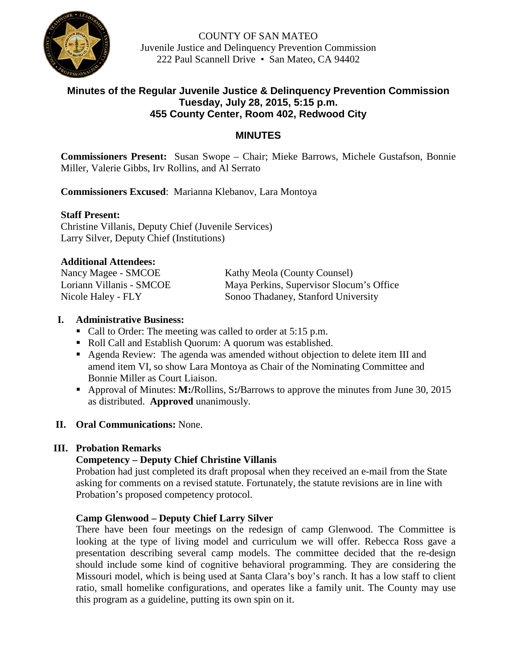

COUNTY OF SAN MATEO Juvenile Justice and Delinquency Prevention Commission 222 Paul Scannell Drive • San Mateo, CA 94402

# **Minutes of the Regular Juvenile Justice & Delinquency Prevention Commission Tuesday, July 28, 2015, 5:15 p.m. 455 County Center, Room 402, Redwood City**

# **MINUTES**

**Commissioners Present:** Susan Swope – Chair; Mieke Barrows, Michele Gustafson, Bonnie Miller, Valerie Gibbs, Irv Rollins, and Al Serrato

**Commissioners Excused**: Marianna Klebanov, Lara Montoya

## **Staff Present:**

Christine Villanis, Deputy Chief (Juvenile Services) Larry Silver, Deputy Chief (Institutions)

## **Additional Attendees:**

| Nancy Magee - SMCOE      | Kathy Meola (County Counsel)             |
|--------------------------|------------------------------------------|
| Loriann Villanis - SMCOE | Maya Perkins, Supervisor Slocum's Office |
| Nicole Haley - FLY       | Sonoo Thadaney, Stanford University      |

## **I. Administrative Business:**

- Call to Order: The meeting was called to order at 5:15 p.m.
- Roll Call and Establish Quorum: A quorum was established.
- Agenda Review: The agenda was amended without objection to delete item III and amend item VI, so show Lara Montoya as Chair of the Nominating Committee and Bonnie Miller as Court Liaison.
- Approval of Minutes: **M:/**Rollins, S**:/**Barrows to approve the minutes from June 30, 2015 as distributed. **Approved** unanimously.
- **II. Oral Communications:** None.

# **III. Probation Remarks**

# **Competency – Deputy Chief Christine Villanis**

Probation had just completed its draft proposal when they received an e-mail from the State asking for comments on a revised statute. Fortunately, the statute revisions are in line with Probation's proposed competency protocol.

# **Camp Glenwood – Deputy Chief Larry Silver**

There have been four meetings on the redesign of camp Glenwood. The Committee is looking at the type of living model and curriculum we will offer. Rebecca Ross gave a presentation describing several camp models. The committee decided that the re-design should include some kind of cognitive behavioral programming. They are considering the Missouri model, which is being used at Santa Clara's boy's ranch. It has a low staff to client ratio, small homelike configurations, and operates like a family unit. The County may use this program as a guideline, putting its own spin on it.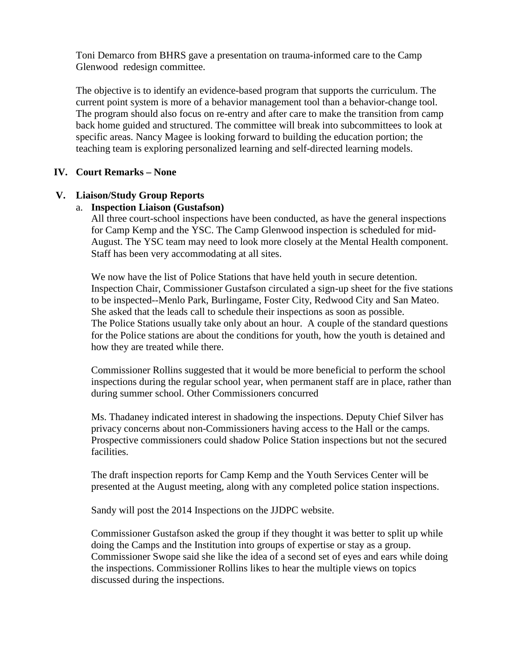Toni Demarco from BHRS gave a presentation on trauma-informed care to the Camp Glenwood redesign committee.

The objective is to identify an evidence-based program that supports the curriculum. The current point system is more of a behavior management tool than a behavior-change tool. The program should also focus on re-entry and after care to make the transition from camp back home guided and structured. The committee will break into subcommittees to look at specific areas. Nancy Magee is looking forward to building the education portion; the teaching team is exploring personalized learning and self-directed learning models.

### **IV. Court Remarks – None**

## **V. Liaison/Study Group Reports**

# a. **Inspection Liaison (Gustafson)**

All three court-school inspections have been conducted, as have the general inspections for Camp Kemp and the YSC. The Camp Glenwood inspection is scheduled for mid-August. The YSC team may need to look more closely at the Mental Health component. Staff has been very accommodating at all sites.

We now have the list of Police Stations that have held youth in secure detention. Inspection Chair, Commissioner Gustafson circulated a sign-up sheet for the five stations to be inspected--Menlo Park, Burlingame, Foster City, Redwood City and San Mateo. She asked that the leads call to schedule their inspections as soon as possible. The Police Stations usually take only about an hour. A couple of the standard questions for the Police stations are about the conditions for youth, how the youth is detained and how they are treated while there.

Commissioner Rollins suggested that it would be more beneficial to perform the school inspections during the regular school year, when permanent staff are in place, rather than during summer school. Other Commissioners concurred

Ms. Thadaney indicated interest in shadowing the inspections. Deputy Chief Silver has privacy concerns about non-Commissioners having access to the Hall or the camps. Prospective commissioners could shadow Police Station inspections but not the secured facilities.

The draft inspection reports for Camp Kemp and the Youth Services Center will be presented at the August meeting, along with any completed police station inspections.

Sandy will post the 2014 Inspections on the JJDPC website.

Commissioner Gustafson asked the group if they thought it was better to split up while doing the Camps and the Institution into groups of expertise or stay as a group. Commissioner Swope said she like the idea of a second set of eyes and ears while doing the inspections. Commissioner Rollins likes to hear the multiple views on topics discussed during the inspections.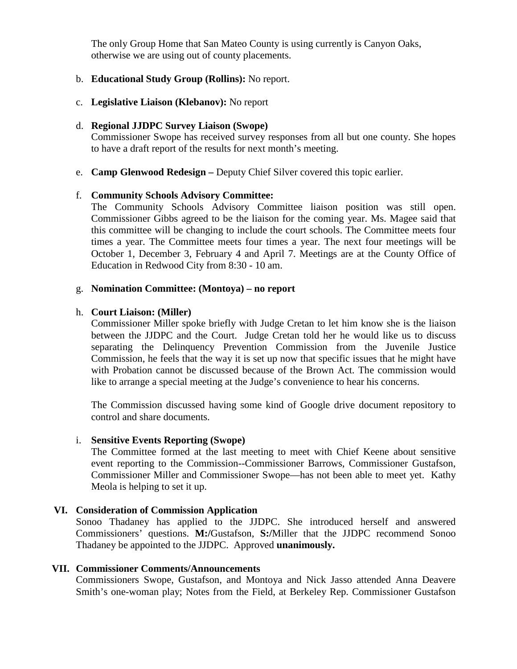The only Group Home that San Mateo County is using currently is Canyon Oaks, otherwise we are using out of county placements.

### b. **Educational Study Group (Rollins):** No report.

c. **Legislative Liaison (Klebanov):** No report

### d. **Regional JJDPC Survey Liaison (Swope)**

Commissioner Swope has received survey responses from all but one county. She hopes to have a draft report of the results for next month's meeting.

e. **Camp Glenwood Redesign –** Deputy Chief Silver covered this topic earlier.

### f. **Community Schools Advisory Committee:**

The Community Schools Advisory Committee liaison position was still open. Commissioner Gibbs agreed to be the liaison for the coming year. Ms. Magee said that this committee will be changing to include the court schools. The Committee meets four times a year. The Committee meets four times a year. The next four meetings will be October 1, December 3, February 4 and April 7. Meetings are at the County Office of Education in Redwood City from 8:30 - 10 am.

#### g. **Nomination Committee: (Montoya) – no report**

#### h. **Court Liaison: (Miller)**

Commissioner Miller spoke briefly with Judge Cretan to let him know she is the liaison between the JJDPC and the Court. Judge Cretan told her he would like us to discuss separating the Delinquency Prevention Commission from the Juvenile Justice Commission, he feels that the way it is set up now that specific issues that he might have with Probation cannot be discussed because of the Brown Act. The commission would like to arrange a special meeting at the Judge's convenience to hear his concerns.

The Commission discussed having some kind of Google drive document repository to control and share documents.

#### i. **Sensitive Events Reporting (Swope)**

The Committee formed at the last meeting to meet with Chief Keene about sensitive event reporting to the Commission--Commissioner Barrows, Commissioner Gustafson, Commissioner Miller and Commissioner Swope—has not been able to meet yet. Kathy Meola is helping to set it up.

#### **VI. Consideration of Commission Application**

Sonoo Thadaney has applied to the JJDPC. She introduced herself and answered Commissioners' questions. **M:/**Gustafson, **S:/**Miller that the JJDPC recommend Sonoo Thadaney be appointed to the JJDPC. Approved **unanimously.**

#### **VII. Commissioner Comments/Announcements**

Commissioners Swope, Gustafson, and Montoya and Nick Jasso attended Anna Deavere Smith's one-woman play; Notes from the Field, at Berkeley Rep. Commissioner Gustafson